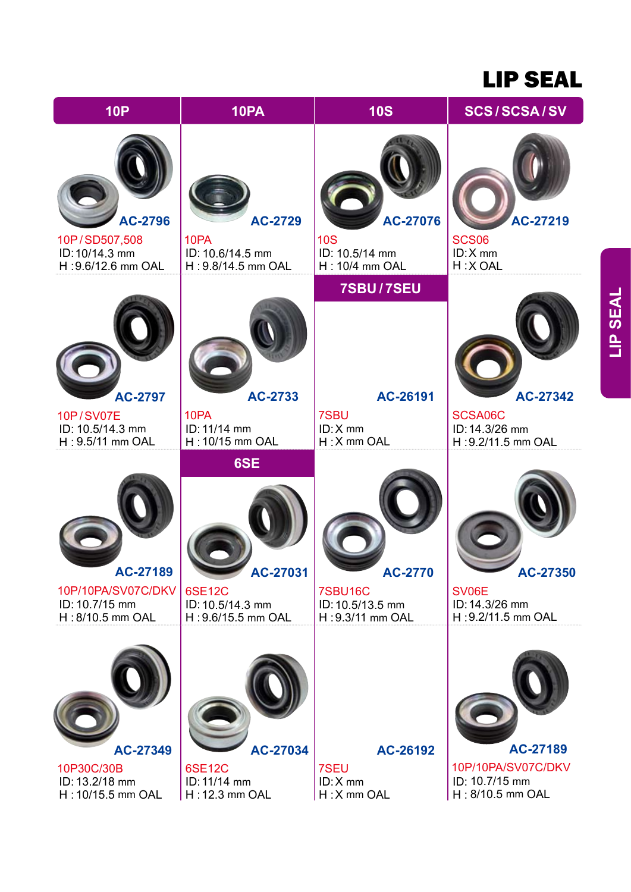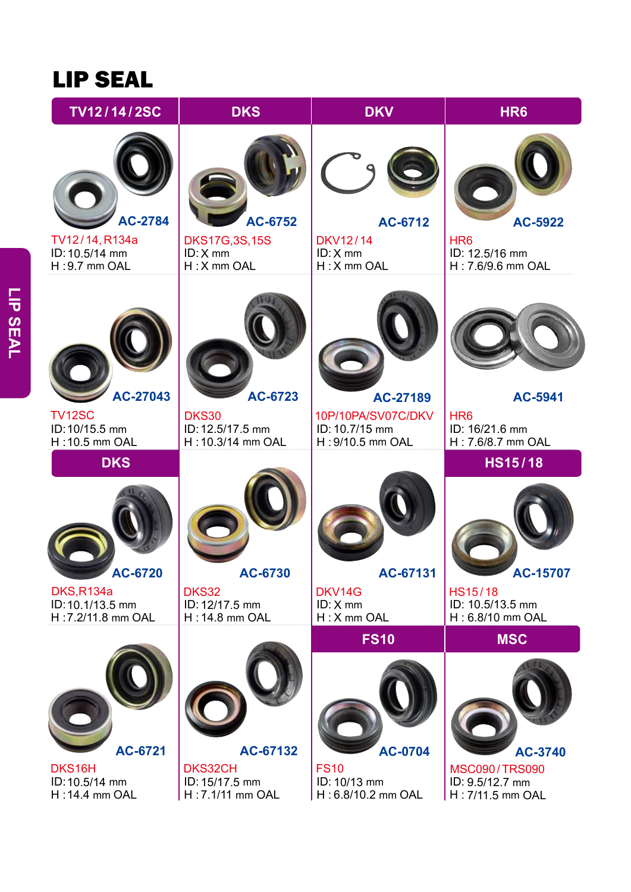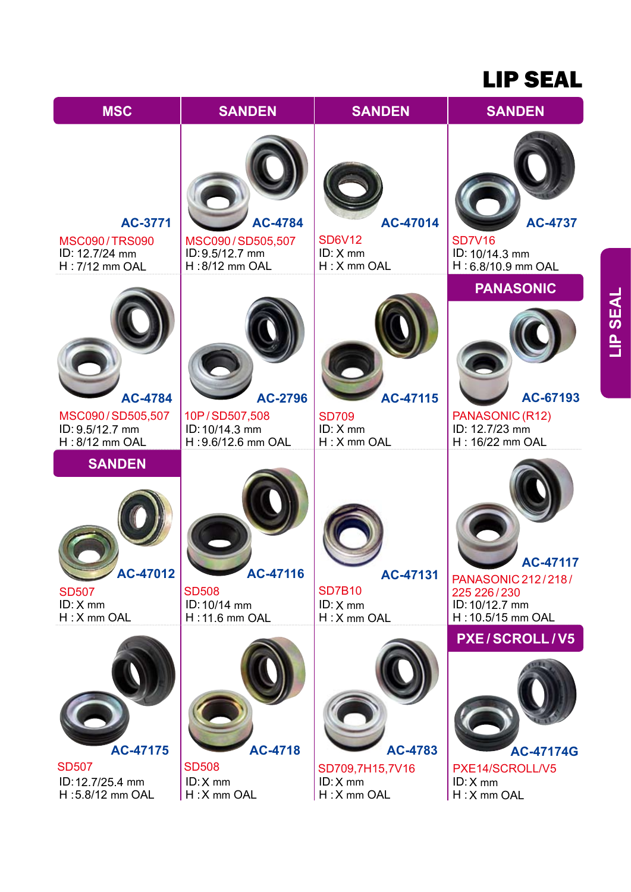

**LIP SEAL LIP SEAL**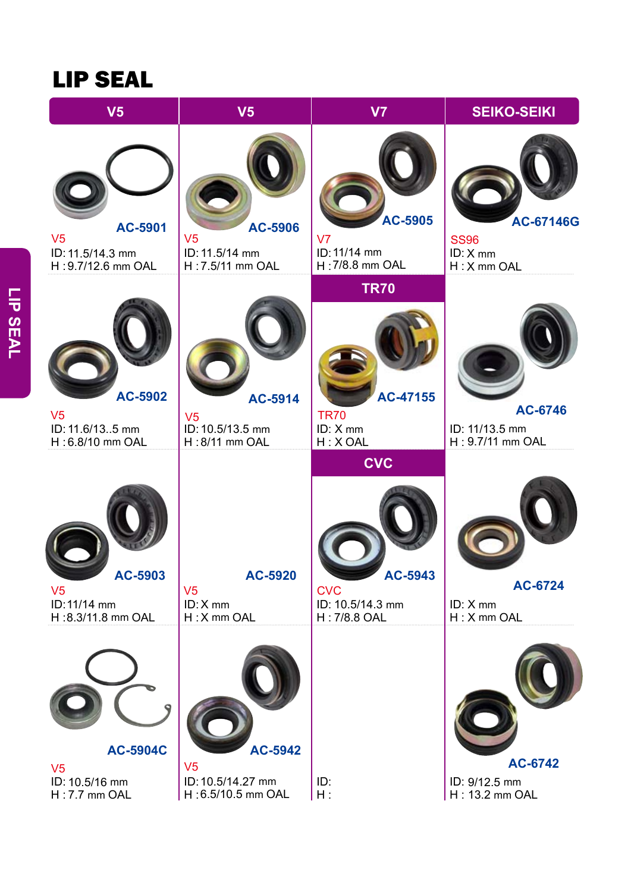